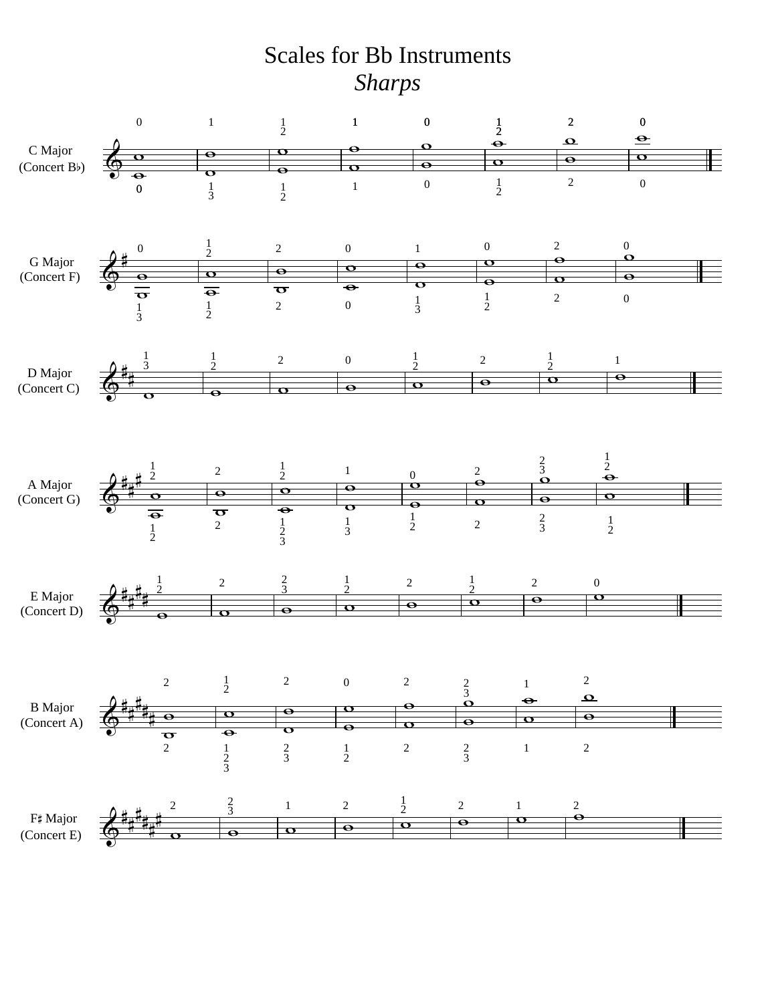## Scales for Bb Instruments *Sharps*